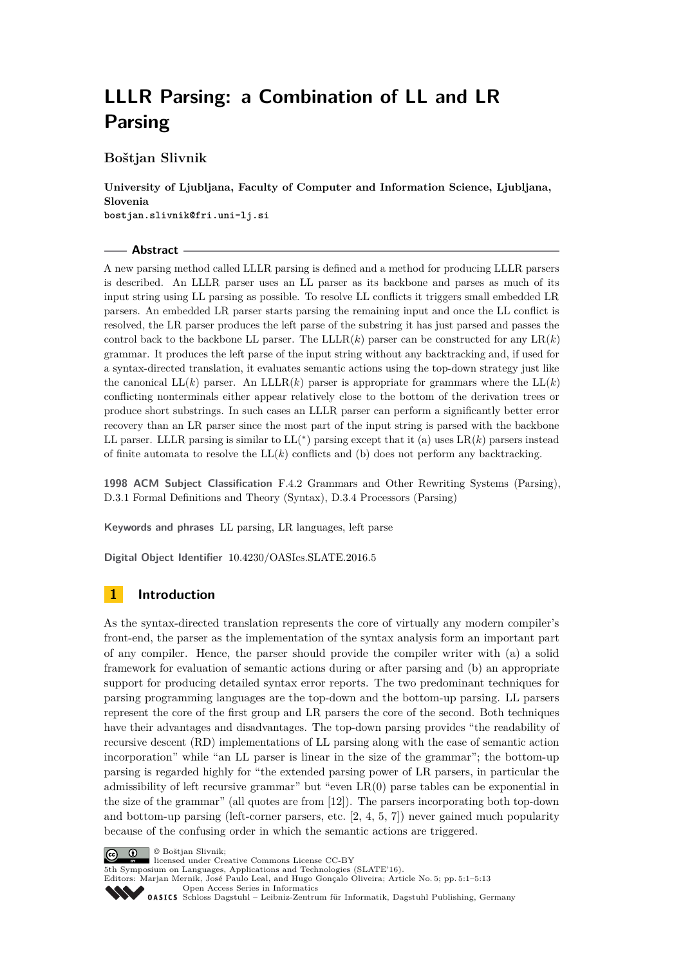# **LLLR Parsing: a Combination of LL and LR Parsing**

**Boštjan Slivnik**

**University of Ljubljana, Faculty of Computer and Information Science, Ljubljana, Slovenia bostjan.slivnik@fri.uni-lj.si**

#### **Abstract**

A new parsing method called LLLR parsing is defined and a method for producing LLLR parsers is described. An LLLR parser uses an LL parser as its backbone and parses as much of its input string using LL parsing as possible. To resolve LL conflicts it triggers small embedded LR parsers. An embedded LR parser starts parsing the remaining input and once the LL conflict is resolved, the LR parser produces the left parse of the substring it has just parsed and passes the control back to the backbone LL parser. The  $LLLR(k)$  parser can be constructed for any  $LR(k)$ grammar. It produces the left parse of the input string without any backtracking and, if used for a syntax-directed translation, it evaluates semantic actions using the top-down strategy just like the canonical  $LL(k)$  parser. An  $LLLR(k)$  parser is appropriate for grammars where the  $LL(k)$ conflicting nonterminals either appear relatively close to the bottom of the derivation trees or produce short substrings. In such cases an LLLR parser can perform a significantly better error recovery than an LR parser since the most part of the input string is parsed with the backbone LL parser. LLLR parsing is similar to  $LL(*)$  parsing except that it (a) uses  $LR(k)$  parsers instead of finite automata to resolve the  $LL(k)$  conflicts and (b) does not perform any backtracking.

**1998 ACM Subject Classification** F.4.2 Grammars and Other Rewriting Systems (Parsing), D.3.1 Formal Definitions and Theory (Syntax), D.3.4 Processors (Parsing)

**Keywords and phrases** LL parsing, LR languages, left parse

**Digital Object Identifier** [10.4230/OASIcs.SLATE.2016.5](http://dx.doi.org/10.4230/OASIcs.SLATE.2016.5)

# **1 Introduction**

As the syntax-directed translation represents the core of virtually any modern compiler's front-end, the parser as the implementation of the syntax analysis form an important part of any compiler. Hence, the parser should provide the compiler writer with (a) a solid framework for evaluation of semantic actions during or after parsing and (b) an appropriate support for producing detailed syntax error reports. The two predominant techniques for parsing programming languages are the top-down and the bottom-up parsing. LL parsers represent the core of the first group and LR parsers the core of the second. Both techniques have their advantages and disadvantages. The top-down parsing provides "the readability of recursive descent (RD) implementations of LL parsing along with the ease of semantic action incorporation" while "an LL parser is linear in the size of the grammar"; the bottom-up parsing is regarded highly for "the extended parsing power of LR parsers, in particular the admissibility of left recursive grammar" but "even LR(0) parse tables can be exponential in the size of the grammar" (all quotes are from [\[12\]](#page-12-0)). The parsers incorporating both top-down and bottom-up parsing (left-corner parsers, etc. [\[2,](#page-12-1) [4,](#page-12-2) [5,](#page-12-3) [7\]](#page-12-4)) never gained much popularity because of the confusing order in which the semantic actions are triggered.



licensed under Creative Commons License CC-BY

5th Symposium on Languages, Applications and Technologies (SLATE'16). Editors: Marjan Mernik, José Paulo Leal, and Hugo Gonçalo Oliveira; Article No. 5; pp. 5:1–5[:13](#page-12-5)

[Open Access Series in Informatics](http://www.dagstuhl.de/oasics/)

[Schloss Dagstuhl – Leibniz-Zentrum für Informatik, Dagstuhl Publishing, Germany](http://www.dagstuhl.de)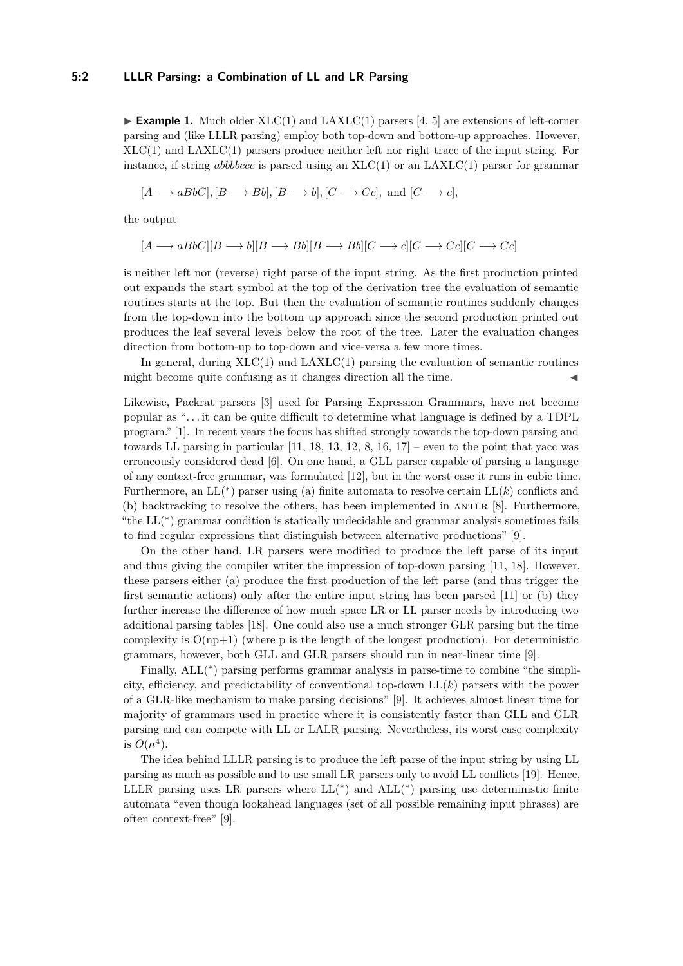## **5:2 LLLR Parsing: a Combination of LL and LR Parsing**

**Example 1.** Much older  $XLC(1)$  and  $LAXLC(1)$  parsers [\[4,](#page-12-2) [5\]](#page-12-3) are extensions of left-corner parsing and (like LLLR parsing) employ both top-down and bottom-up approaches. However,  $XLC(1)$  and  $LAXLC(1)$  parsers produce neither left nor right trace of the input string. For instance, if string *abbbccc* is parsed using an  $XLC(1)$  or an  $LAXLC(1)$  parser for grammar

$$
[A \longrightarrow aBbC], [B \longrightarrow Bb], [B \longrightarrow b], [C \longrightarrow Cc],
$$
 and  $[C \longrightarrow c],$ 

the output

$$
[A \longrightarrow aBbC][B \longrightarrow b][B \longrightarrow Bb][B \longrightarrow Bb][C \longrightarrow c][C \longrightarrow Cc][C \longrightarrow Cc]
$$

is neither left nor (reverse) right parse of the input string. As the first production printed out expands the start symbol at the top of the derivation tree the evaluation of semantic routines starts at the top. But then the evaluation of semantic routines suddenly changes from the top-down into the bottom up approach since the second production printed out produces the leaf several levels below the root of the tree. Later the evaluation changes direction from bottom-up to top-down and vice-versa a few more times.

In general, during  $XLC(1)$  and  $LAXLC(1)$  parsing the evaluation of semantic routines might become quite confusing as it changes direction all the time.

Likewise, Packrat parsers [\[3\]](#page-12-6) used for Parsing Expression Grammars, have not become popular as ". . . it can be quite difficult to determine what language is defined by a TDPL program." [\[1\]](#page-12-7). In recent years the focus has shifted strongly towards the top-down parsing and towards LL parsing in particular  $[11, 18, 13, 12, 8, 16, 17]$  $[11, 18, 13, 12, 8, 16, 17]$  $[11, 18, 13, 12, 8, 16, 17]$  $[11, 18, 13, 12, 8, 16, 17]$  $[11, 18, 13, 12, 8, 16, 17]$  $[11, 18, 13, 12, 8, 16, 17]$  $[11, 18, 13, 12, 8, 16, 17]$  $[11, 18, 13, 12, 8, 16, 17]$  $[11, 18, 13, 12, 8, 16, 17]$  $[11, 18, 13, 12, 8, 16, 17]$  $[11, 18, 13, 12, 8, 16, 17]$  $[11, 18, 13, 12, 8, 16, 17]$  $[11, 18, 13, 12, 8, 16, 17]$  – even to the point that yacc was erroneously considered dead [\[6\]](#page-12-14). On one hand, a GLL parser capable of parsing a language of any context-free grammar, was formulated [\[12\]](#page-12-0), but in the worst case it runs in cubic time. Furthermore, an  $LL(*)$  parser using (a) finite automata to resolve certain  $LL(k)$  conflicts and (b) backtracking to resolve the others, has been implemented in ANTLR  $[8]$ . Furthermore, "the  $LL$ <sup>(\*)</sup>) grammar condition is statically undecidable and grammar analysis sometimes fails to find regular expressions that distinguish between alternative productions" [\[9\]](#page-12-15).

On the other hand, LR parsers were modified to produce the left parse of its input and thus giving the compiler writer the impression of top-down parsing [\[11,](#page-12-8) [18\]](#page-12-9). However, these parsers either (a) produce the first production of the left parse (and thus trigger the first semantic actions) only after the entire input string has been parsed [\[11\]](#page-12-8) or (b) they further increase the difference of how much space LR or LL parser needs by introducing two additional parsing tables [\[18\]](#page-12-9). One could also use a much stronger GLR parsing but the time complexity is  $O(np+1)$  (where p is the length of the longest production). For deterministic grammars, however, both GLL and GLR parsers should run in near-linear time [\[9\]](#page-12-15).

Finally,  $ALL(^*)$  parsing performs grammar analysis in parse-time to combine "the simplicity, efficiency, and predictability of conventional top-down LL(*k*) parsers with the power of a GLR-like mechanism to make parsing decisions" [\[9\]](#page-12-15). It achieves almost linear time for majority of grammars used in practice where it is consistently faster than GLL and GLR parsing and can compete with LL or LALR parsing. Nevertheless, its worst case complexity is  $O(n^4)$ .

The idea behind LLLR parsing is to produce the left parse of the input string by using LL parsing as much as possible and to use small LR parsers only to avoid LL conflicts [\[19\]](#page-12-16). Hence, LLLR parsing uses LR parsers where  $LL(*)$  and  $ALL(*)$  parsing use deterministic finite automata "even though lookahead languages (set of all possible remaining input phrases) are often context-free" [\[9\]](#page-12-15).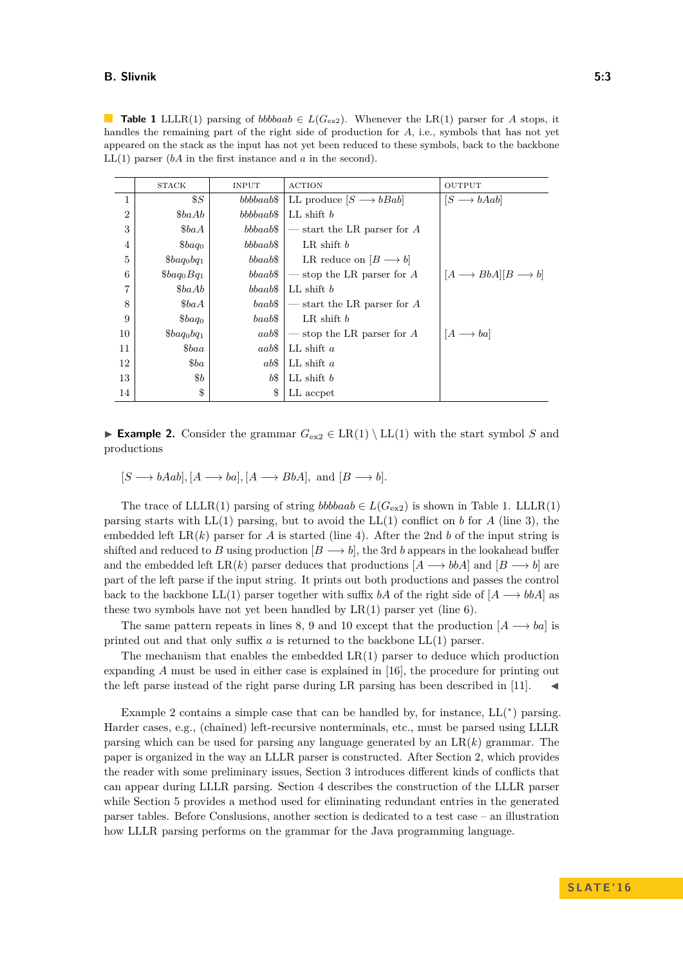#### **B. Slivnik 5:3**

<span id="page-2-0"></span>**Table 1** LLLR(1) parsing of *bbbbaab*  $\in L(G_{\text{ex2}})$ . Whenever the LR(1) parser for *A* stops, it handles the remaining part of the right side of production for *A*, i.e., symbols that has not yet appeared on the stack as the input has not yet been reduced to these symbols, back to the backbone LL(1) parser (*bA* in the first instance and *a* in the second).

|                | <b>STACK</b>       | <b>INPUT</b> | <b>ACTION</b>                         | <b>OUTPUT</b>                          |
|----------------|--------------------|--------------|---------------------------------------|----------------------------------------|
| $\mathbf{1}$   | $\$S$              | $bbbbaab\$   | LL produce $[S \longrightarrow bBab]$ | $[S \longrightarrow bAab]$             |
| $\overline{2}$ | \$baAb             | $bbbbaab\$   | LL shift $b$                          |                                        |
| 3              | \$baA              | $bbbaab\$    | $-$ start the LR parser for A         |                                        |
| 4              | \$baq <sub>0</sub> | bbbaab\$     | LR shift $b$                          |                                        |
| 5              | $\&baq_0bq_1$      | $bbaab$$     | LR reduce on $[B \longrightarrow b]$  |                                        |
| 6              | $\&baq_0Bq_1$      | bbaab\$      | — stop the LR parser for $A$          | $[A \rightarrow BbA][B \rightarrow b]$ |
| 7              | $\$baAb$           | $bbaab\$     | $LL$ shift $b$                        |                                        |
| 8              | \$baA              | $baab\$      | $-$ start the LR parser for A         |                                        |
| 9              | $\$baq_0$          | $baab\$      | LR shift $b$                          |                                        |
| 10             | $\&baq_0bq_1$      | aab\$        | $\sim$ stop the LR parser for A       | $[A \rightarrow ba]$                   |
| 11             | $\&baa$            | aab\$        | LL shift $a$                          |                                        |
| 12             | $\$ba$             | $ab\$$       | LL shift $a$                          |                                        |
| 13             | $\$b$              | b\$          | $LL$ shift $b$                        |                                        |
| 14             | \$                 | \$           | LL accpet                             |                                        |

<span id="page-2-1"></span>**Example 2.** Consider the grammar  $G_{ex2} \in LR(1) \setminus LL(1)$  with the start symbol *S* and productions

 $[S \longrightarrow bAab], [A \longrightarrow ba], [A \longrightarrow BbA], \text{ and } [B \longrightarrow b].$ 

The trace of LLLR(1) parsing of string *bbbbaab*  $\in L(G_{\text{ex2}})$  is shown in Table [1.](#page-2-0) LLLR(1) parsing starts with  $LL(1)$  parsing, but to avoid the  $LL(1)$  conflict on *b* for *A* (line 3), the embedded left  $LR(k)$  parser for *A* is started (line 4). After the 2nd *b* of the input string is shifted and reduced to *B* using production  $[B \longrightarrow b]$ , the 3rd *b* appears in the lookahead buffer and the embedded left LR(k) parser deduces that productions  $[A \rightarrow bbA]$  and  $[B \rightarrow b]$  are part of the left parse if the input string. It prints out both productions and passes the control back to the backbone LL(1) parser together with suffix *bA* of the right side of  $[A \rightarrow bbA]$  as these two symbols have not yet been handled by  $LR(1)$  parser yet (line 6).

The same pattern repeats in lines 8, 9 and 10 except that the production  $[A \rightarrow ba]$  is printed out and that only suffix *a* is returned to the backbone LL(1) parser.

The mechanism that enables the embedded  $LR(1)$  parser to deduce which production expanding *A* must be used in either case is explained in [\[16\]](#page-12-12), the procedure for printing out the left parse instead of the right parse during LR parsing has been described in [\[11\]](#page-12-8).

Example [2](#page-2-1) contains a simple case that can be handled by, for instance,  $LL(*)$  parsing. Harder cases, e.g., (chained) left-recursive nonterminals, etc., must be parsed using LLLR parsing which can be used for parsing any language generated by an  $LR(k)$  grammar. The paper is organized in the way an LLLR parser is constructed. After Section [2,](#page-3-0) which provides the reader with some preliminary issues, Section [3](#page-4-0) introduces different kinds of conflicts that can appear during LLLR parsing. Section [4](#page-5-0) describes the construction of the LLLR parser while Section [5](#page-9-0) provides a method used for eliminating redundant entries in the generated parser tables. Before Conslusions, another section is dedicated to a test case – an illustration how LLLR parsing performs on the grammar for the Java programming language.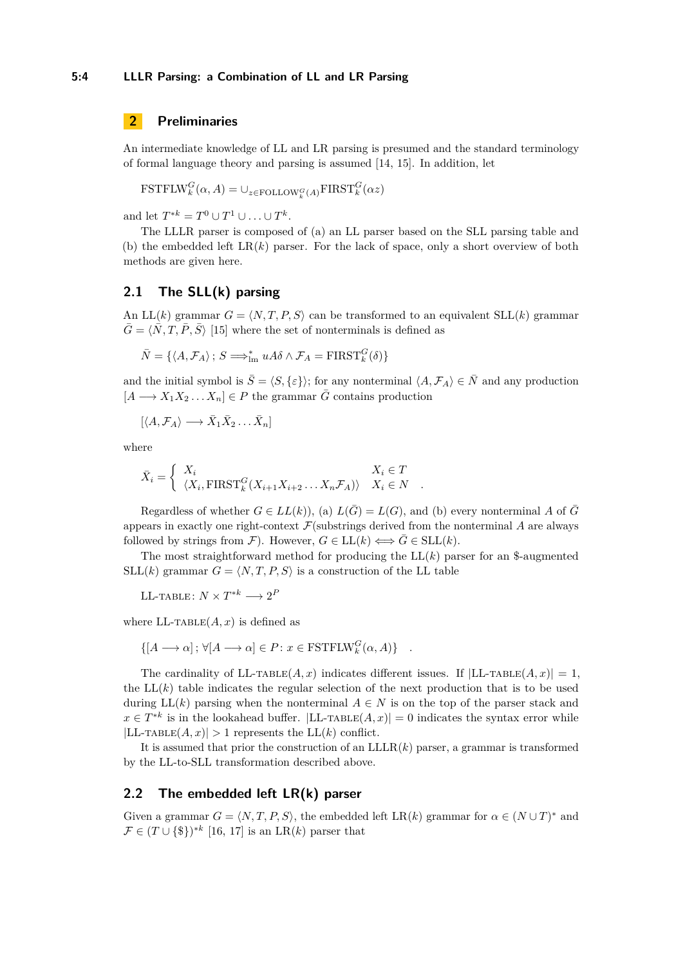# <span id="page-3-0"></span>**2 Preliminaries**

An intermediate knowledge of LL and LR parsing is presumed and the standard terminology of formal language theory and parsing is assumed [\[14,](#page-12-17) [15\]](#page-12-18). In addition, let

$$
\text{FSTFLW}_k^G(\alpha, A) = \cup_{z \in \text{FOLLOW}_k^G(A)} \text{FIRST}_k^G(\alpha z)
$$

and let  $T^{*k} = T^0 \cup T^1 \cup ... \cup T^k$ .

The LLLR parser is composed of (a) an LL parser based on the SLL parsing table and (b) the embedded left  $LR(k)$  parser. For the lack of space, only a short overview of both methods are given here.

## **2.1 The SLL(k) parsing**

An  $LL(k)$  grammar  $G = \langle N, T, P, S \rangle$  can be transformed to an equivalent  $SL(k)$  grammar  $\overline{G} = \langle \overline{N}, T, \overline{P}, \overline{S} \rangle$  [\[15\]](#page-12-18) where the set of nonterminals is defined as

$$
\bar{N} = \{ \langle A, \mathcal{F}_A \rangle \, ; \, S \Longrightarrow_{\text{lm}}^* u A \delta \wedge \mathcal{F}_A = \text{FIRST}_k^G(\delta) \}
$$

and the initial symbol is  $\overline{S} = \langle S, \{\varepsilon\} \rangle$ ; for any nonterminal  $\langle A, \mathcal{F}_A \rangle \in \overline{N}$  and any production  $[A \longrightarrow X_1 X_2 ... X_n] \in P$  the grammar  $\overline{G}$  contains production

$$
[\langle A, \mathcal{F}_A \rangle \longrightarrow \bar{X}_1 \bar{X}_2 \dots \bar{X}_n]
$$

where

$$
\bar{X}_i = \begin{cases} X_i & X_i \in T \\ \langle X_i, \text{FIRST}_k^G(X_{i+1}X_{i+2} \dots X_n \mathcal{F}_A) \rangle & X_i \in N \end{cases}.
$$

Regardless of whether  $G \in LL(k)$ , (a)  $L(\overline{G}) = L(G)$ , and (b) every nonterminal A of  $\overline{G}$ appears in exactly one right-context  $\mathcal{F}(\text{substrings derived from the nonterminal } A \text{ are always})$ followed by strings from  $\mathcal{F}$ ). However,  $G \in LL(k) \Longleftrightarrow \overline{G} \in SLL(k)$ .

The most straightforward method for producing the  $LL(k)$  parser for an \$-augmented  $SLL(k)$  grammar  $G = \langle N, T, P, S \rangle$  is a construction of the LL table

$$
\text{LL-Table: } N \times T^{*k} \longrightarrow 2^P
$$

where  $LL$ -TABLE $(A, x)$  is defined as

$$
\{[A \longrightarrow \alpha] \, ; \, \forall [A \longrightarrow \alpha] \in P \colon x \in \text{FSTFLW}_k^G(\alpha, A) \} \quad .
$$

The cardinality of LL-TABLE $(A, x)$  indicates different issues. If  $|LL$ -TABLE $(A, x)| = 1$ , the  $LL(k)$  table indicates the regular selection of the next production that is to be used during  $LL(k)$  parsing when the nonterminal  $A \in N$  is on the top of the parser stack and  $x \in T^{*k}$  is in the lookahead buffer.  $|LL$ -TABLE $(A, x)| = 0$  indicates the syntax error while  $|LL$ -TABLE $(A, x)| > 1$  represents the  $LL(k)$  conflict.

It is assumed that prior the construction of an  $LLLR(k)$  parser, a grammar is transformed by the LL-to-SLL transformation described above.

### **2.2 The embedded left LR(k) parser**

Given a grammar  $G = \langle N, T, P, S \rangle$ , the embedded left LR(k) grammar for  $\alpha \in (N \cup T)^*$  and  $\mathcal{F} \in (T \cup \{\$\})^{*k}$  [\[16,](#page-12-12) [17\]](#page-12-13) is an LR(*k*) parser that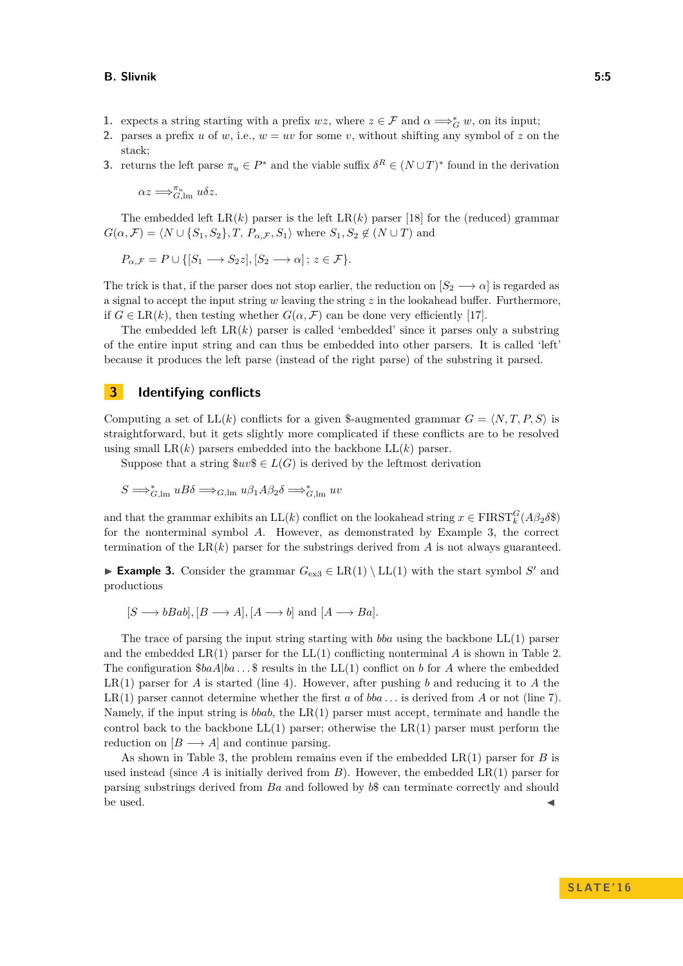#### **B. Slivnik 5:5**

- **1.** expects a string starting with a prefix  $wz$ , where  $z \in \mathcal{F}$  and  $\alpha \Longrightarrow_G^* w$ , on its input;
- **2.** parses a prefix *u* of *w*, i.e.,  $w = uv$  for some *v*, without shifting any symbol of *z* on the stack;
- **3.** returns the left parse  $\pi_u \in P^*$  and the viable suffix  $\delta^R \in (N \cup T)^*$  found in the derivation

 $\alpha z \Longrightarrow_{G,\operatorname{lm}}^{\pi_u} u \delta z.$ 

The embedded left  $LR(k)$  parser is the left  $LR(k)$  parser [\[18\]](#page-12-9) for the (reduced) grammar  $G(\alpha, \mathcal{F}) = \langle N \cup \{S_1, S_2\}, T, P_{\alpha, \mathcal{F}}, S_1 \rangle$  where  $S_1, S_2 \notin (N \cup T)$  and

$$
P_{\alpha,\mathcal{F}} = P \cup \{ [S_1 \longrightarrow S_2 z], [S_2 \longrightarrow \alpha] \, ; \, z \in \mathcal{F} \}.
$$

The trick is that, if the parser does not stop earlier, the reduction on  $[S_2 \longrightarrow \alpha]$  is regarded as a signal to accept the input string *w* leaving the string *z* in the lookahead buffer. Furthermore, if  $G \in \text{LR}(k)$ , then testing whether  $G(\alpha, \mathcal{F})$  can be done very efficiently [\[17\]](#page-12-13).

The embedded left  $LR(k)$  parser is called 'embedded' since it parses only a substring of the entire input string and can thus be embedded into other parsers. It is called 'left' because it produces the left parse (instead of the right parse) of the substring it parsed.

## <span id="page-4-0"></span>**3 Identifying conflicts**

Computing a set of  $LL(k)$  conflicts for a given \$-augmented grammar  $G = \langle N, T, P, S \rangle$  is straightforward, but it gets slightly more complicated if these conflicts are to be resolved using small  $LR(k)$  parsers embedded into the backbone  $LL(k)$  parser.

Suppose that a string  $\text{Suv}\$   $\in$  *L*(*G*) is derived by the leftmost derivation

$$
S \Longrightarrow_{G,\operatorname{lm}}^* uB\delta \Longrightarrow_{G,\operatorname{lm}} u\beta_1 A\beta_2 \delta \Longrightarrow_{G,\operatorname{lm}}^* uv
$$

and that the grammar exhibits an  $LL(k)$  conflict on the lookahead string  $x \in \text{FIRST}_k^G(A\beta_2\delta\$ for the nonterminal symbol *A*. However, as demonstrated by Example [3,](#page-4-1) the correct termination of the LR $(k)$  parser for the substrings derived from A is not always guaranteed.

<span id="page-4-1"></span>► **Example 3.** Consider the grammar  $G_{\text{ex3}} \in \text{LR}(1) \setminus \text{LL}(1)$  $G_{\text{ex3}} \in \text{LR}(1) \setminus \text{LL}(1)$  $G_{\text{ex3}} \in \text{LR}(1) \setminus \text{LL}(1)$  with the start symbol  $S'$  and productions

 $[S \rightarrow bBab], [B \rightarrow A], [A \rightarrow b] \text{ and } [A \rightarrow Ba].$ 

The trace of parsing the input string starting with *bba* using the backbone LL(1) parser and the embedded LR(1) parser for the LL(1) conflicting nonterminal *A* is shown in Table [2.](#page-5-1) The configuration  $$baA|ba \dots$  \$ results in the LL(1) conflict on *b* for *A* where the embedded LR(1) parser for *A* is started (line 4). However, after pushing *b* and reducing it to *A* the LR(1) parser cannot determine whether the first  $a$  of  $bba \dots$  is derived from  $A$  or not (line 7). Namely, if the input string is *bbab*, the LR(1) parser must accept, terminate and handle the control back to the backbone  $LL(1)$  parser; otherwise the  $LR(1)$  parser must perform the reduction on  $[B \longrightarrow A]$  and continue parsing.

As shown in Table [3,](#page-5-2) the problem remains even if the embedded LR(1) parser for *B* is used instead (since  $\vec{A}$  is initially derived from  $\vec{B}$ ). However, the embedded  $LR(1)$  parser for parsing substrings derived from *Ba* and followed by *b*\$ can terminate correctly and should be used.  $\blacksquare$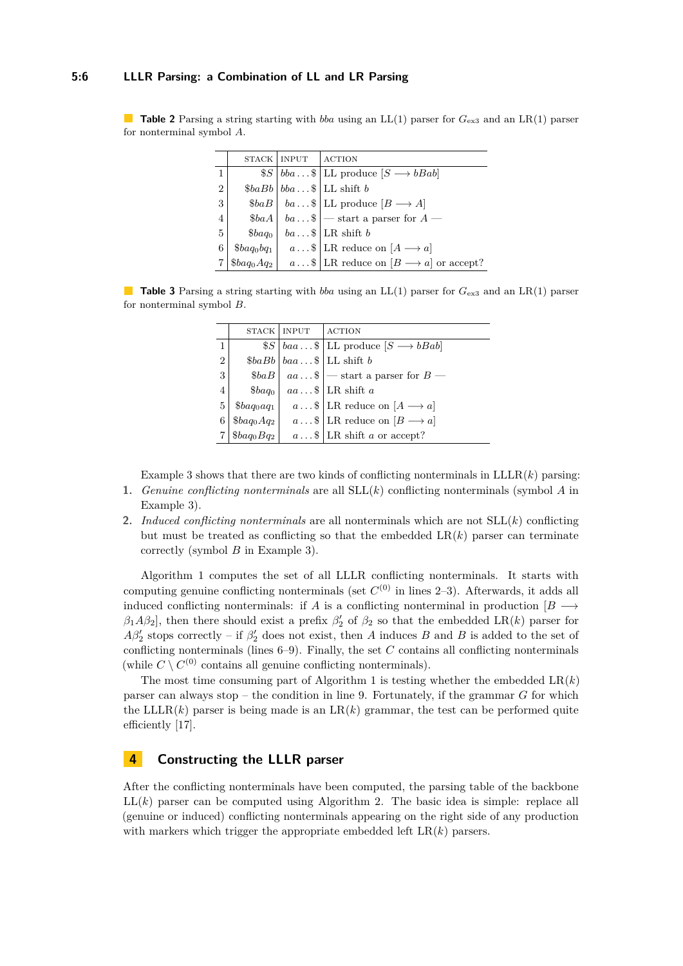#### **5:6 LLLR Parsing: a Combination of LL and LR Parsing**

<span id="page-5-1"></span>**Table 2** Parsing a string starting with *bba* using an LL(1) parser for *G*e[x3](#page-4-1) and an LR(1) parser for nonterminal symbol *A*.

|                |                    | STACK   INPUT | <b>ACTION</b>                                                                      |
|----------------|--------------------|---------------|------------------------------------------------------------------------------------|
| 1              |                    |               | $S \mid bba \ldots S \mid LL$ produce $[S \rightarrow bBab]$                       |
| $\overline{2}$ |                    |               | $\delta b \cdot b b \cdot \ldots \cdot \cdot L$ shift b                            |
| 3              |                    |               | $\$baB \,   \, ba \ldots \$ \,  $ LL produce $[B \longrightarrow A]$               |
| 4              |                    |               | $\$baA \,   \, ba \ldots \$$ - start a parser for $A$ -                            |
| 5              | \$baq <sub>0</sub> |               | $ba \dots \$$ LR shift b                                                           |
| 6              |                    |               | $\$\mathit{baq_0bq_1} \quad a \ldots \$   LR \text{ reduce on } [A \rightarrow a]$ |
|                | $\$baq_0Aq_2$      |               | $a \dots \$   \text{LR reduce on } [B \longrightarrow a] \text{ or accept?}$       |

<span id="page-5-2"></span>**Table 3** Parsing a string starting with *bba* using an LL(1) parser for *G*e[x3](#page-4-1) and an LR(1) parser for nonterminal symbol *B*.

|                |                                    | STACK   INPUT | <b>ACTION</b>                                                 |
|----------------|------------------------------------|---------------|---------------------------------------------------------------|
| $\mathbf{1}$   |                                    |               | $S \mid baa \dots S \mid LL$ produce $S \longrightarrow bBab$ |
| $\overline{2}$ |                                    |               | $\delta b \in Bb \mid baa \dots \$   LL shift b               |
| 3              | \$baB                              |               | $ aa \dots \$ $ - start a parser for $B$ -                    |
| 4              | \$baq <sub>0</sub>                 |               | $aa \dots \$   LR shift a                                     |
| 5              | \$baq <sub>0</sub> aq <sub>1</sub> |               | $a \dots \$   \text{LR reduce on } [A \longrightarrow a]$     |
| 6              | $$baq_0Aq_2$                       |               | $a \dots \$   \text{LR reduce on } [B \longrightarrow a]$     |
|                | $\&baq_0Bq_2$                      |               | $a \dots$ \$   LR shift a or accept?                          |
|                |                                    |               |                                                               |

Example [3](#page-4-1) shows that there are two kinds of conflicting nonterminals in  $LLLR(k)$  parsing:

- **1.** *Genuine conflicting nonterminals* are all SLL(*k*) conflicting nonterminals (symbol *A* in Example [3\)](#page-4-1).
- **2.** *Induced conflicting nonterminals* are all nonterminals which are not SLL(*k*) conflicting but must be treated as conflicting so that the embedded  $LR(k)$  parser can terminate correctly (symbol *B* in Example [3\)](#page-4-1).

Algorithm [1](#page-6-0) computes the set of all LLLR conflicting nonterminals. It starts with computing genuine conflicting nonterminals (set  $C^{(0)}$  in lines 2–3). Afterwards, it adds all induced conflicting nonterminals: if *A* is a conflicting nonterminal in production  $[B \rightarrow$  $\beta_1 A \beta_2$ , then there should exist a prefix  $\beta_2'$  of  $\beta_2$  so that the embedded LR(*k*) parser for  $A\beta_2'$  stops correctly – if  $\beta_2'$  does not exist, then *A* induces *B* and *B* is added to the set of conflicting nonterminals (lines 6–9). Finally, the set *C* contains all conflicting nonterminals (while  $C \setminus C^{(0)}$  contains all genuine conflicting nonterminals).

The most time consuming part of Algorithm [1](#page-6-0) is testing whether the embedded  $LR(k)$ parser can always stop – the condition in line 9. Fortunately, if the grammar *G* for which the LLLR $(k)$  parser is being made is an  $LR(k)$  grammar, the test can be performed quite efficiently [\[17\]](#page-12-13).

## <span id="page-5-0"></span>**4 Constructing the LLLR parser**

After the conflicting nonterminals have been computed, the parsing table of the backbone  $LL(k)$  parser can be computed using Algorithm [2.](#page-7-0) The basic idea is simple: replace all (genuine or induced) conflicting nonterminals appearing on the right side of any production with markers which trigger the appropriate embedded left LR(*k*) parsers.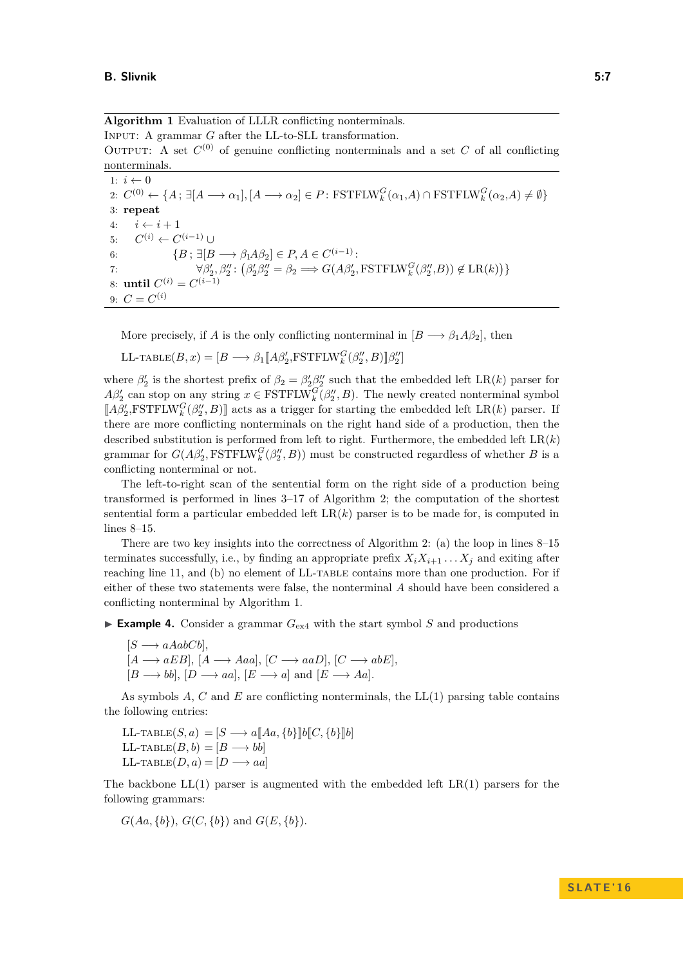<span id="page-6-0"></span>**Algorithm 1** Evaluation of LLLR conflicting nonterminals. INPUT: A grammar *G* after the LL-to-SLL transformation. OUTPUT: A set  $C^{(0)}$  of genuine conflicting nonterminals and a set  $C$  of all conflicting nonterminals. 1:  $i \leftarrow 0$  $2: C^{(0)} \leftarrow \{A; \exists [A \longrightarrow \alpha_1], [A \longrightarrow \alpha_2] \in P: \text{FSTFLW}_k^G(\alpha_1, A) \cap \text{FSTFLW}_k^G(\alpha_2, A) \neq \emptyset\}$ 

3: **repeat** 4:  $i \leftarrow i + 1$ <br>5:  $C^{(i)} \leftarrow C^{(i-1)} \cup$ 5:  $C^{(i)} \leftarrow C^{(i-1)} \cup$ 6:  $\{B; \exists [B \longrightarrow \beta_1 A \beta_2] \in P, A \in C^{(i-1)}\right)$ 7:  $\forall \beta'_2, \beta''_2 : (\beta'_2 \beta''_2 = \beta_2 \Longrightarrow G(A\beta'_2, \text{FSTFLW}_k^G(\beta''_2, B)) \notin \text{LR}(k))$ 8: **until**  $C^{(i)} = C^{(i-1)}$ 9:  $C = C^{(i)}$ 

More precisely, if *A* is the only conflicting nonterminal in  $[B \longrightarrow \beta_1 A \beta_2]$ , then

$$
\text{LL-TABLE}(B, x) = [B \longrightarrow \beta_1 [\![A\beta'_2, \text{FSTFLW}_k^G(\beta''_2, B)]\!] \beta''_2]
$$

where  $\beta'_2$  is the shortest prefix of  $\beta_2 = \beta'_2 \beta''_2$  such that the embedded left LR(*k*) parser for  $A\beta_2'$  can stop on any string  $x \in \text{FSTFLW}_k^G(\beta_2'', B)$ . The newly created nonterminal symbol  $\llbracket A\beta'_2,\text{FSTFLW}_k^G(\beta''_2,B)\rrbracket$  acts as a trigger for starting the embedded left LR(*k*) parser. If there are more conflicting nonterminals on the right hand side of a production, then the described substitution is performed from left to right. Furthermore, the embedded left  $LR(k)$ grammar for  $G(A\beta_2',\text{FSTFLW}_k^G(\beta_2'',B))$  must be constructed regardless of whether *B* is a conflicting nonterminal or not.

The left-to-right scan of the sentential form on the right side of a production being transformed is performed in lines 3–17 of Algorithm [2;](#page-7-0) the computation of the shortest sentential form a particular embedded left  $LR(k)$  parser is to be made for, is computed in lines 8–15.

There are two key insights into the correctness of Algorithm [2:](#page-7-0) (a) the loop in lines 8–15 terminates successfully, i.e., by finding an appropriate prefix  $X_i X_{i+1} \ldots X_j$  and exiting after reaching line 11, and (b) no element of LL-TABLE contains more than one production. For if either of these two statements were false, the nonterminal *A* should have been considered a conflicting nonterminal by Algorithm [1.](#page-6-0)

<span id="page-6-1"></span>**Example 4.** Consider a grammar  $G_{\text{ex4}}$  $G_{\text{ex4}}$  $G_{\text{ex4}}$  with the start symbol *S* and productions

$$
[S \longrightarrow aAabCb],
$$
  
\n $[A \longrightarrow aEB], [A \longrightarrow Aaa], [C \longrightarrow aaD], [C \longrightarrow abE],$   
\n $[B \longrightarrow bb], [D \longrightarrow aa], [E \longrightarrow a]$  and  $[E \longrightarrow Aa].$ 

As symbols *A*, *C* and *E* are conflicting nonterminals, the LL(1) parsing table contains the following entries:

 $\text{LL-TABLE}(S, a) = [S \longrightarrow a \llbracket Aa, \{b\} \rrbracket b \llbracket C, \{b\} \rrbracket b]$  $LL$ -TABLE $(B, b) = [B \longrightarrow bb]$  $LL$ -TABLE $(D, a) = [D \longrightarrow aa]$ 

The backbone  $LL(1)$  parser is augmented with the embedded left  $LR(1)$  parsers for the following grammars:

 $G(Aa, \{b\}), G(C, \{b\})$  and  $G(E, \{b\}).$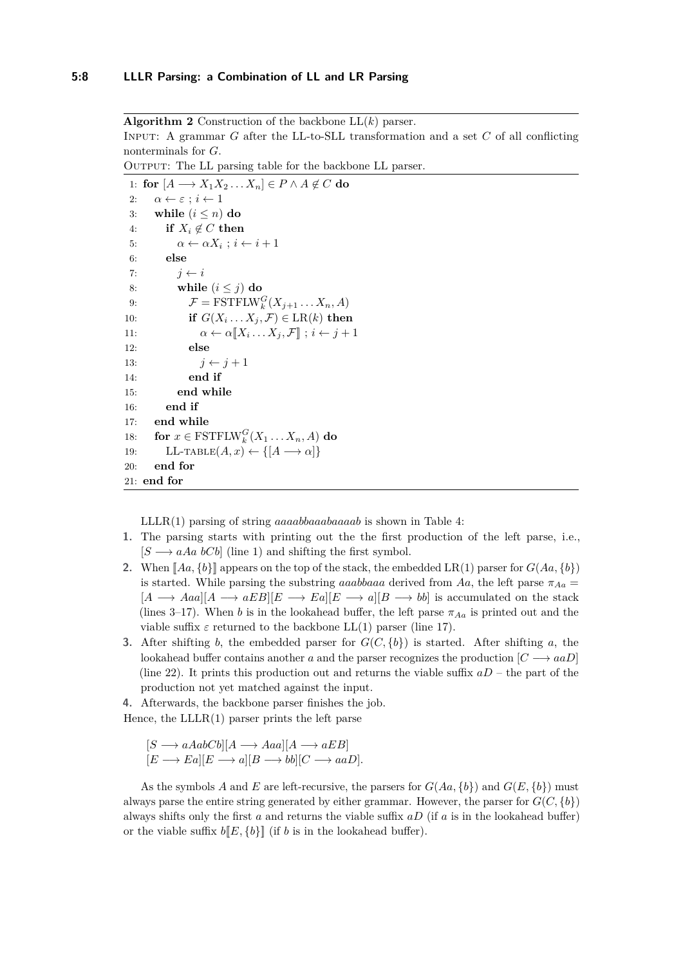<span id="page-7-0"></span>**Algorithm 2** Construction of the backbone LL(*k*) parser. Input: A grammar *G* after the LL-to-SLL transformation and a set *C* of all conflicting nonterminals for *G*.

OUTPUT: The LL parsing table for the backbone LL parser.

```
1: for [A \longrightarrow X_1 X_2 \dots X_n] \in P \land A \notin C do
 2: α ← ε ; i ← 1
 3: while (i \leq n) do
 4: if X_i \notin C then
 5: \alpha \leftarrow \alpha X_i ; i \leftarrow i + 16: else
 7: i \leftarrow i8: while (i \leq j) do
 9: \mathcal{F} = \text{FSTFLW}_k^G(X_{j+1} \dots X_n, A)10: if G(X_i \dots X_j, \mathcal{F}) \in \text{LR}(k) then
11: \alpha \leftarrow \alpha \llbracket X_i \ldots X_j, \mathcal{F} \rrbracket; i \leftarrow j+112: else
13: j \leftarrow j + 114: end if
15: end while
16: end if
17: end while
18: for x \in \text{FSTFLW}_k^G(X_1 \dots X_n, A) do
19: LL-TABLE(A, x) \leftarrow \{[A \longrightarrow \alpha]\}20: end for
21: end for
```
LLLR(1) parsing of string *aaaabbaaabaaaab* is shown in Table [4:](#page-8-0)

- **1.** The parsing starts with printing out the the first production of the left parse, i.e.,  $[S \rightarrow aAa \ bCb]$  (line 1) and shifting the first symbol.
- 2. When  $[Aa, \{b\}]$  appears on the top of the stack, the embedded LR(1) parser for  $G(Aa, \{b\})$ is started. While parsing the substring *aaabbaaa* derived from Aa, the left parse  $\pi_{Aa}$  =  $[A \rightarrow Aaa][A \rightarrow aEB][E \rightarrow Ea][E \rightarrow a][B \rightarrow bb]$  is accumulated on the stack (lines 3–17). When *b* is in the lookahead buffer, the left parse  $\pi_{A_a}$  is printed out and the viable suffix  $\varepsilon$  returned to the backbone LL(1) parser (line 17).
- **3.** After shifting *b*, the embedded parser for  $G(C, \{b\})$  is started. After shifting *a*, the lookahead buffer contains another *a* and the parser recognizes the production  $[C \rightarrow aaD]$ (line 22). It prints this production out and returns the viable suffix  $aD$  – the part of the production not yet matched against the input.

**4.** Afterwards, the backbone parser finishes the job. Hence, the  $LLLR(1)$  parser prints the left parse

 $[S \longrightarrow aAabCb][A \longrightarrow Aaa][A \longrightarrow aEB]$  $[E \longrightarrow Ea][E \longrightarrow a][B \longrightarrow bb][C \longrightarrow aaD].$ 

As the symbols *A* and *E* are left-recursive, the parsers for  $G(Aa, \{b\})$  and  $G(E, \{b\})$  must always parse the entire string generated by either grammar. However, the parser for  $G(C, \{b\})$ always shifts only the first *a* and returns the viable suffix *aD* (if *a* is in the lookahead buffer) or the viable suffix  $b[[E, {b}]]$  (if *b* is in the lookahead buffer).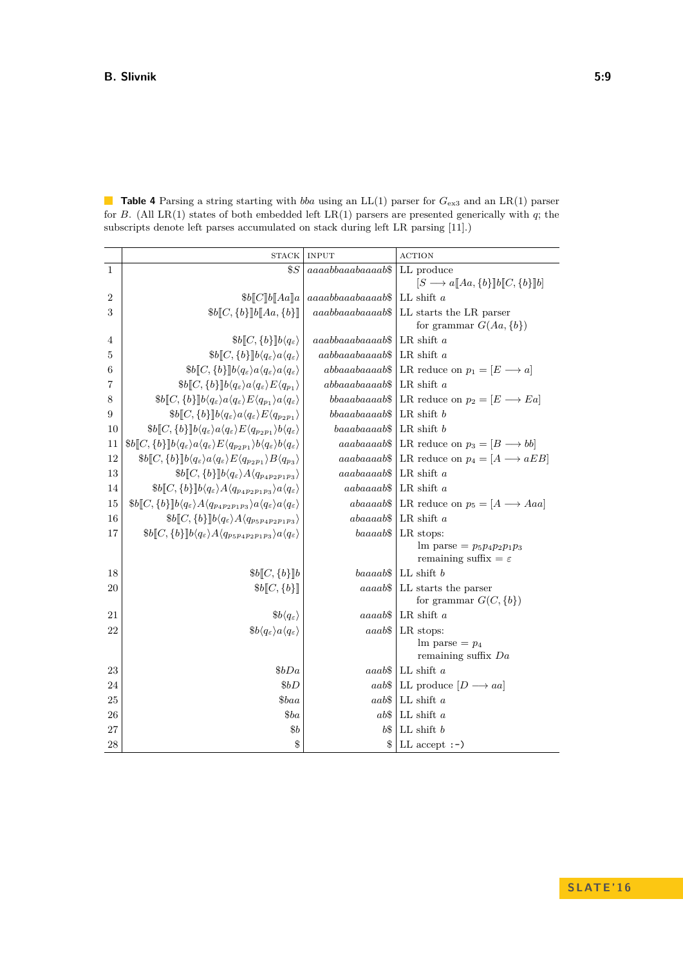<span id="page-8-0"></span>**Table 4** Parsing a string starting with *bba* using an LL(1) parser for  $G_{\text{ex3}}$  $G_{\text{ex3}}$  $G_{\text{ex3}}$  and an LR(1) parser for *B*. (All LR(1) states of both embedded left LR(1) parsers are presented generically with *q*; the subscripts denote left parses accumulated on stack during left LR parsing [\[11\]](#page-12-8).)

|                | <b>STACK</b>                                                                                                                                                                                      | <b>INPUT</b>        | <b>ACTION</b>                                                                              |
|----------------|---------------------------------------------------------------------------------------------------------------------------------------------------------------------------------------------------|---------------------|--------------------------------------------------------------------------------------------|
| 1              | $\$S$                                                                                                                                                                                             | $aaaabbaaaabaaaab\$ | LL produce                                                                                 |
|                |                                                                                                                                                                                                   |                     | $[S \longrightarrow a \llbracket Aa, \{b\} \rrbracket b \llbracket C, \{b\} \rrbracket b]$ |
| $\overline{2}$ | $$b$ [C] $b$ [Aa]a                                                                                                                                                                                | $aaaabbaaabaaaab\$  | LL shift $a$                                                                               |
| 3              | $$b[]C, \{b\}$ ] $b[]Aa, \{b\}]$                                                                                                                                                                  | $aaabbaaabaaaab\$   | LL starts the LR parser                                                                    |
|                |                                                                                                                                                                                                   |                     | for grammar $G(Aa, \{b\})$                                                                 |
| 4              | $$b$ [C, {b}] $b\langle q_{\varepsilon}\rangle$                                                                                                                                                   | $aaabbaaabaaaab\$   | LR shift $a$                                                                               |
| 5              | $$b[]C, \{b\}]\,b\langle q_{\varepsilon}\rangle a\langle q_{\varepsilon}\rangle$                                                                                                                  | $aabbaaabaaaab\$    | LR shift $a$                                                                               |
| 6              | $$b$ [C, {b}]b $\langle q_{\varepsilon}\rangle a \langle q_{\varepsilon}\rangle a \langle q_{\varepsilon}\rangle$                                                                                 | $abbaaaabaaaab\$    | LR reduce on $p_1 = [E \longrightarrow a]$                                                 |
| 7              | $b\llbracket C, \{b\} \rrbracket b\langle q_{\varepsilon} \rangle a\langle q_{\varepsilon} \rangle E\langle q_{p_1} \rangle$                                                                      | $abbaaaabaaaab\$    | LR shift $a$                                                                               |
| 8              | $$b[]C, \{b\}]\,b\langle q_{\varepsilon}\rangle a\langle q_{\varepsilon}\rangle E\langle q_{p_1}\rangle a\langle q_{\varepsilon}\rangle$                                                          | $bbaaabaaaab\$      | LR reduce on $p_2 = [E \longrightarrow Ea]$                                                |
| 9              | $b\llbracket C, \{b\} \rrbracket b\langle q_{\varepsilon} \rangle a\langle q_{\varepsilon} \rangle E\langle q_{p_2p_1} \rangle$                                                                   | $bbaaabaaaab\$      | LR shift $b$                                                                               |
| 10             | $$b\llbracket C, \{b\} \rrbracket b\langle q_{\varepsilon} \rangle a\langle q_{\varepsilon} \rangle E\langle q_{p_2p_1} \rangle b\langle q_{\varepsilon} \rangle$                                 | $baaabaaaab\$       | $LR$ shift $b$                                                                             |
| 11             | $b\llbracket C, \{b\} \rrbracket b\langle q_{\varepsilon} \rangle a\langle q_{\varepsilon} \rangle E\langle q_{p_2p_1} \rangle b\langle q_{\varepsilon} \rangle b\langle q_{\varepsilon} \rangle$ | $aaabaaaab\$        | LR reduce on $p_3 = [B \longrightarrow bb]$                                                |
| 12             | $$b[]C, \{b\}]\,b\langle q_{\varepsilon}\rangle a\langle q_{\varepsilon}\rangle E\langle q_{p_2p_1}\rangle B\langle q_{p_3}\rangle$                                                               | aaabaaaab\$         | LR reduce on $p_4 = [A \longrightarrow aEB]$                                               |
| 13             | $$b[]C, \{b\}]\,b\langle q_{\varepsilon}\rangle A\langle q_{p_{4}p_{2}p_{1}p_{3}}\rangle$                                                                                                         | $aaabaaaab\$        | LR shift $a$                                                                               |
| 14             | $b\llbracket C, \{b\} \rrbracket b\langle q_{\varepsilon} \rangle A\langle q_{p_4p_2p_1p_3} \rangle a\langle q_{\varepsilon} \rangle$                                                             | $aabaaaab\$         | LR shift $a$                                                                               |
| 15             | $$b[]C, \{b\}]\,b\langle q_{\varepsilon}\rangle A\langle q_{p_4p_2p_1p_3}\rangle a\langle q_{\varepsilon}\rangle a\langle q_{\varepsilon}\rangle$                                                 | $abaaaab\$          | LR reduce on $p_5 = [A \longrightarrow Aaa]$                                               |
| 16             | $$b$ [C, {b}]b $\langle q_{\varepsilon}\rangle A \langle q_{p_5p_4p_2p_1p_3}\rangle$                                                                                                              | $abaaaab\$          | LR shift $a$                                                                               |
| 17             | $$b[]C, \{b\}]b\langle q_{\varepsilon}\rangle A\langle q_{p_5p_4p_2p_1p_3}\rangle a\langle q_{\varepsilon}\rangle$                                                                                | baaaab\$            | LR stops:                                                                                  |
|                |                                                                                                                                                                                                   |                     | $\text{Im parse} = p_5 p_4 p_2 p_1 p_3$<br>remaining suffix $= \varepsilon$                |
| 18             | $$b$ [C, {b}]b                                                                                                                                                                                    | $baaaab\$           | LL shift $b$                                                                               |
| 20             | $$b$ [C, {b}]                                                                                                                                                                                     | aaaab\$             | LL starts the parser                                                                       |
|                |                                                                                                                                                                                                   |                     | for grammar $G(C, \{b\})$                                                                  |
| 21             | $\delta b \langle q_{\varepsilon} \rangle$                                                                                                                                                        | aaaab\$             | LR shift $a$                                                                               |
| 22             | $\delta b \langle q_{\varepsilon} \rangle a \langle q_{\varepsilon} \rangle$                                                                                                                      | aaab\$              | LR stops:                                                                                  |
|                |                                                                                                                                                                                                   |                     | $\ln$ parse = $p_4$                                                                        |
|                |                                                                                                                                                                                                   |                     | remaining suffix $Da$                                                                      |
| 23             | \$bDa\$                                                                                                                                                                                           |                     | $aaab\$   LL shift a                                                                       |
| 24             | \$bD\$                                                                                                                                                                                            | aab\$               | LL produce $[D \longrightarrow aa]$                                                        |
| $25\,$         | \$baa                                                                                                                                                                                             | aab\$               | LL shift $a$                                                                               |
| 26             | \$ba                                                                                                                                                                                              | $ab\$$              | LL shift $a$                                                                               |
| 27             | $\$b$                                                                                                                                                                                             | b\$                 | $LL$ shift $b$                                                                             |
| 28             | \$                                                                                                                                                                                                | \$                  | LL accept $:-)$                                                                            |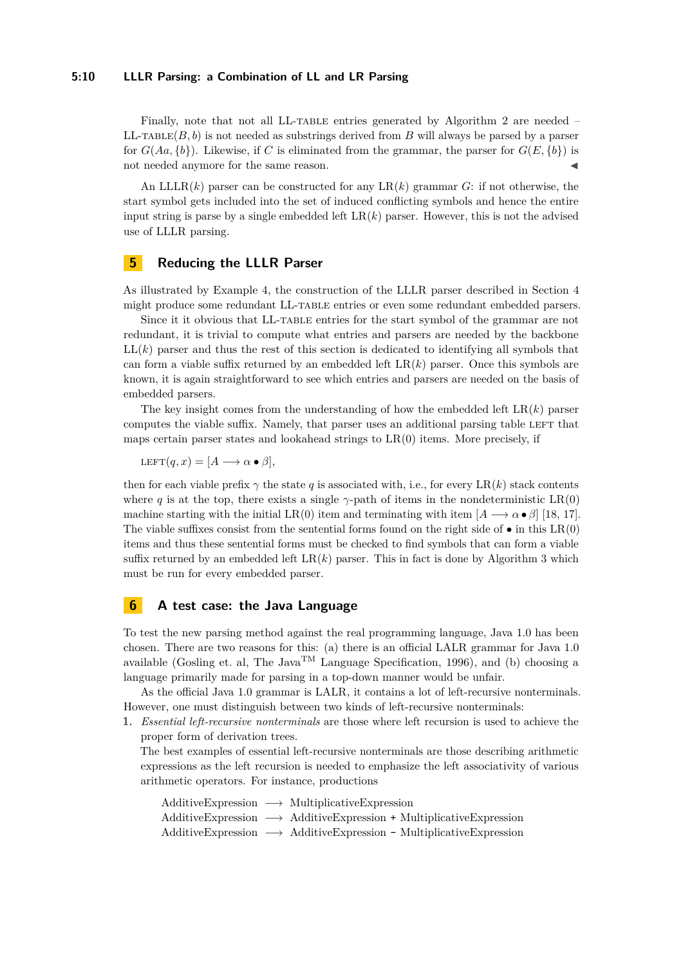#### **5:10 LLLR Parsing: a Combination of LL and LR Parsing**

Finally, note that not all LL-TABLE entries generated by Algorithm [2](#page-7-0) are needed –  $LL$ -TABLE $(B, b)$  is not needed as substrings derived from  $B$  will always be parsed by a parser for  $G(Aa, \{b\})$ . Likewise, if C is eliminated from the grammar, the parser for  $G(E, \{b\})$  is not needed anymore for the same reason.

An LLLR(*k*) parser can be constructed for any LR(*k*) grammar *G*: if not otherwise, the start symbol gets included into the set of induced conflicting symbols and hence the entire input string is parse by a single embedded left  $LR(k)$  parser. However, this is not the advised use of LLLR parsing.

# <span id="page-9-0"></span>**5 Reducing the LLLR Parser**

As illustrated by Example [4,](#page-6-1) the construction of the LLLR parser described in Section [4](#page-5-0) might produce some redundant LL-table entries or even some redundant embedded parsers.

Since it it obvious that LL-table entries for the start symbol of the grammar are not redundant, it is trivial to compute what entries and parsers are needed by the backbone  $LL(k)$  parser and thus the rest of this section is dedicated to identifying all symbols that can form a viable suffix returned by an embedded left  $LR(k)$  parser. Once this symbols are known, it is again straightforward to see which entries and parsers are needed on the basis of embedded parsers.

The key insight comes from the understanding of how the embedded left  $LR(k)$  parser computes the viable suffix. Namely, that parser uses an additional parsing table LEFT that maps certain parser states and lookahead strings to  $LR(0)$  items. More precisely, if

LEFT $(q, x) = [A \longrightarrow \alpha \bullet \beta],$ 

then for each viable prefix  $\gamma$  the state q is associated with, i.e., for every LR(k) stack contents where *q* is at the top, there exists a single  $\gamma$ -path of items in the nondeterministic LR(0) machine starting with the initial LR(0) item and terminating with item  $[A \rightarrow \alpha \bullet \beta]$  [\[18,](#page-12-9) [17\]](#page-12-13). The viable suffixes consist from the sentential forms found on the right side of  $\bullet$  in this  $LR(0)$ items and thus these sentential forms must be checked to find symbols that can form a viable suffix returned by an embedded left  $LR(k)$  parser. This in fact is done by Algorithm [3](#page-10-0) which must be run for every embedded parser.

## **6 A test case: the Java Language**

To test the new parsing method against the real programming language, Java 1.0 has been chosen. There are two reasons for this: (a) there is an official LALR grammar for Java 1.0 available (Gosling et. al, The Java<sup>TM</sup> Language Specification, 1996), and (b) choosing a language primarily made for parsing in a top-down manner would be unfair.

As the official Java 1.0 grammar is LALR, it contains a lot of left-recursive nonterminals. However, one must distinguish between two kinds of left-recursive nonterminals:

**1.** *Essential left-recursive nonterminals* are those where left recursion is used to achieve the proper form of derivation trees.

The best examples of essential left-recursive nonterminals are those describing arithmetic expressions as the left recursion is needed to emphasize the left associativity of various arithmetic operators. For instance, productions

| $AdditiveExpression \longrightarrow Multiplicative Expression$                                          |
|---------------------------------------------------------------------------------------------------------|
| $\text{AdditiveExpression} \longrightarrow \text{AdditiveExpression} + \text{MultiplicativeExpression}$ |
| $\text{AdditiveExpression} \longrightarrow \text{AdditiveExpression}$ - Multiplicative Expression       |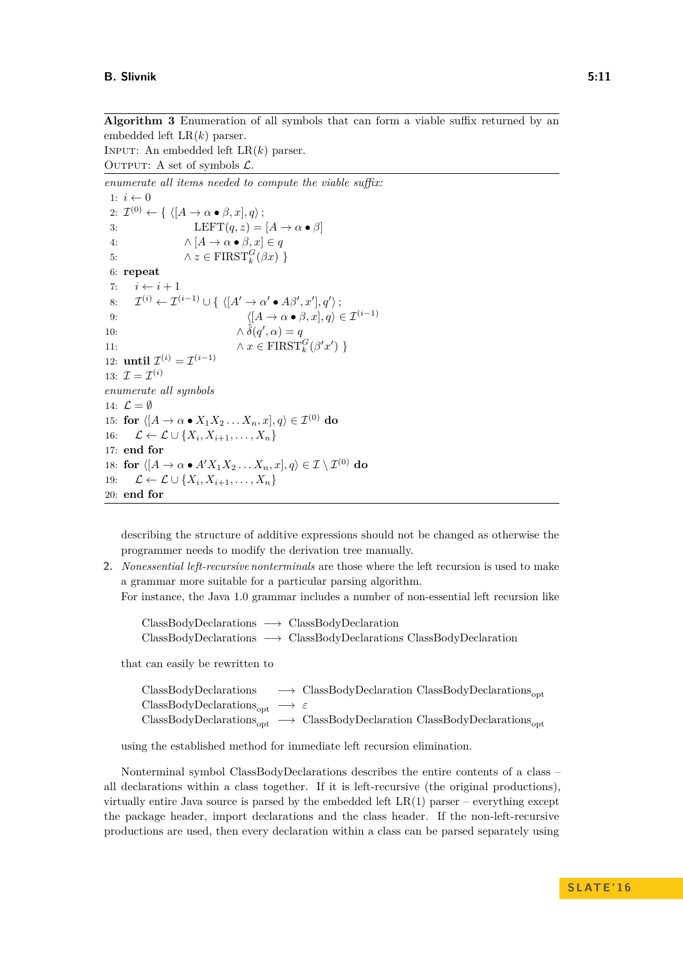<span id="page-10-0"></span>**Algorithm 3** Enumeration of all symbols that can form a viable suffix returned by an embedded left LR(*k*) parser.

INPUT: An embedded left  $LR(k)$  parser. OUTPUT: A set of symbols  $\mathcal{L}$ .

*enumerate all items needed to compute the viable suffix:* 1:  $i \leftarrow 0$ 2:  $\mathcal{I}^{(0)} \leftarrow \{ \langle [A \rightarrow \alpha \bullet \beta, x], q \rangle;$ 3: LEFT $(q, z) = [A \rightarrow \alpha \bullet \beta]$ 4:  $\wedge [A \to \alpha \bullet \beta, x] \in q$ 5:  $\qquad \qquad \wedge z \in \text{FIRST}_k^G(\beta x)$ 6: **repeat** 7:  $i \leftarrow i + 1$ 8:  $\mathcal{I}^{(i)} \leftarrow \mathcal{I}^{(i-1)} \cup \{ \langle [A' \rightarrow \alpha' \bullet A\beta', x'], q' \rangle \};$ 9:  $\langle [A \to \alpha \bullet \beta, x], q \rangle \in \mathcal{I}^{(i-1)}$ 10:  $\qquad \qquad \wedge \hat{\delta}(q', \alpha) = q$ 11:  $\qquad \qquad \wedge x \in \text{FIRST}_k^G(\beta' x')$ 12: **until**  $\mathcal{I}^{(i)} = \mathcal{I}^{(i-1)}$ 13:  $\mathcal{I} = \mathcal{I}^{(i)}$ *enumerate all symbols* 14:  $\mathcal{L} = \emptyset$ 15: **for**  $\langle [A \rightarrow \alpha \bullet X_1 X_2 \dots X_n, x], q \rangle \in \mathcal{I}^{(0)}$  do 16:  $\mathcal{L} \leftarrow \mathcal{L} \cup \{X_i, X_{i+1}, \ldots, X_n\}$ 17: **end for** 18: **for**  $\langle [A \rightarrow \alpha \bullet A'X_1X_2 \dots X_n, x], q \rangle \in \mathcal{I} \setminus \mathcal{I}^{(0)}$  do 19:  $\mathcal{L} \leftarrow \mathcal{L} \cup \{X_i, X_{i+1}, \ldots, X_n\}$ 20: **end for**

describing the structure of additive expressions should not be changed as otherwise the programmer needs to modify the derivation tree manually.

**2.** *Nonessential left-recursive nonterminals* are those where the left recursion is used to make a grammar more suitable for a particular parsing algorithm.

For instance, the Java 1.0 grammar includes a number of non-essential left recursion like

```
ClassBodyDeclarations −→ ClassBodyDeclaration
ClassBodyDeclarations −→ ClassBodyDeclarations ClassBodyDeclaration
```
that can easily be rewritten to

| ClassBodyDeclarations                                            | $\longrightarrow$ ClassBodyDeclaration ClassBodyDeclarations <sub>opt</sub>                                  |
|------------------------------------------------------------------|--------------------------------------------------------------------------------------------------------------|
| $ClassBodyDeclarations_{\text{opt}} \longrightarrow \varepsilon$ |                                                                                                              |
|                                                                  | $ClassBodyDeclarations_{\text{opt}} \longrightarrow ClassBodyDeclaration ClassBodyDeclarations_{\text{opt}}$ |

using the established method for immediate left recursion elimination.

Nonterminal symbol ClassBodyDeclarations describes the entire contents of a class – all declarations within a class together. If it is left-recursive (the original productions), virtually entire Java source is parsed by the embedded left  $LR(1)$  parser – everything except the package header, import declarations and the class header. If the non-left-recursive productions are used, then every declaration within a class can be parsed separately using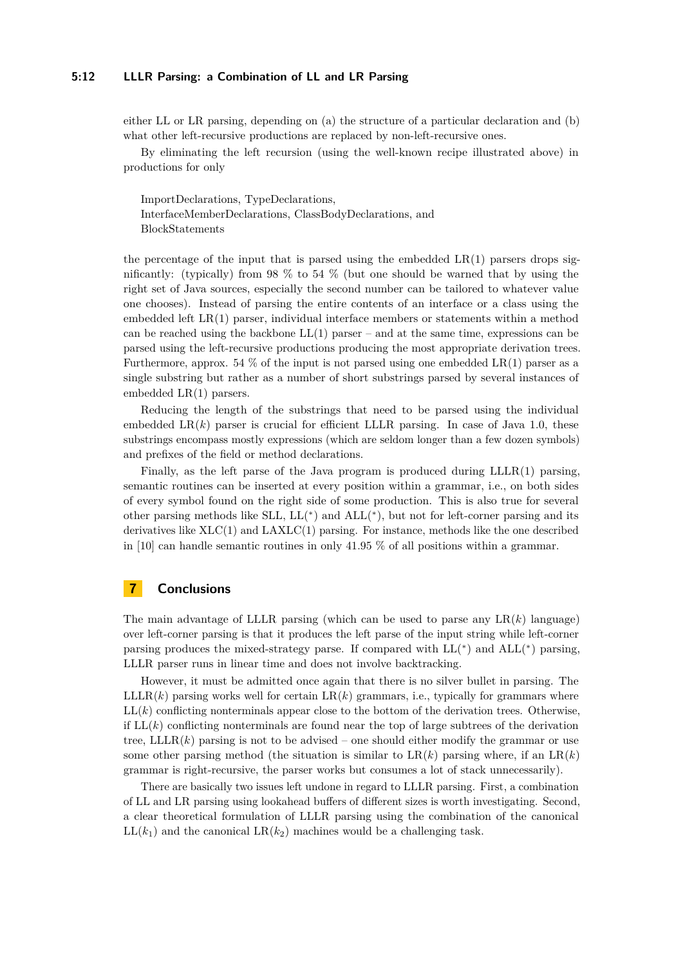#### **5:12 LLLR Parsing: a Combination of LL and LR Parsing**

either LL or LR parsing, depending on (a) the structure of a particular declaration and (b) what other left-recursive productions are replaced by non-left-recursive ones.

By eliminating the left recursion (using the well-known recipe illustrated above) in productions for only

ImportDeclarations, TypeDeclarations, InterfaceMemberDeclarations, ClassBodyDeclarations, and BlockStatements

the percentage of the input that is parsed using the embedded  $LR(1)$  parsers drops significantly: (typically) from 98  $\%$  to 54  $\%$  (but one should be warned that by using the right set of Java sources, especially the second number can be tailored to whatever value one chooses). Instead of parsing the entire contents of an interface or a class using the embedded left LR(1) parser, individual interface members or statements within a method can be reached using the backbone  $LL(1)$  parser – and at the same time, expressions can be parsed using the left-recursive productions producing the most appropriate derivation trees. Furthermore, approx. 54  $\%$  of the input is not parsed using one embedded LR(1) parser as a single substring but rather as a number of short substrings parsed by several instances of embedded LR(1) parsers.

Reducing the length of the substrings that need to be parsed using the individual embedded  $LR(k)$  parser is crucial for efficient LLLR parsing. In case of Java 1.0, these substrings encompass mostly expressions (which are seldom longer than a few dozen symbols) and prefixes of the field or method declarations.

Finally, as the left parse of the Java program is produced during LLLR(1) parsing, semantic routines can be inserted at every position within a grammar, i.e., on both sides of every symbol found on the right side of some production. This is also true for several other parsing methods like SLL, LL( ∗ ) and ALL( ∗ ), but not for left-corner parsing and its derivatives like  $XLC(1)$  and  $LAXLC(1)$  parsing. For instance, methods like the one described in [\[10\]](#page-12-19) can handle semantic routines in only 41.95 % of all positions within a grammar.

## **7 Conclusions**

The main advantage of LLLR parsing (which can be used to parse any  $LR(k)$  language) over left-corner parsing is that it produces the left parse of the input string while left-corner parsing produces the mixed-strategy parse. If compared with  $LL(*)$  and  $ALL(*)$  parsing, LLLR parser runs in linear time and does not involve backtracking.

However, it must be admitted once again that there is no silver bullet in parsing. The  $\text{LLLR}(k)$  parsing works well for certain  $\text{LR}(k)$  grammars, i.e., typically for grammars where  $LL(k)$  conflicting nonterminals appear close to the bottom of the derivation trees. Otherwise, if  $LL(k)$  conflicting nonterminals are found near the top of large subtrees of the derivation tree,  $\text{LLR}(k)$  parsing is not to be advised – one should either modify the grammar or use some other parsing method (the situation is similar to  $LR(k)$  parsing where, if an  $LR(k)$ grammar is right-recursive, the parser works but consumes a lot of stack unnecessarily).

There are basically two issues left undone in regard to LLLR parsing. First, a combination of LL and LR parsing using lookahead buffers of different sizes is worth investigating. Second, a clear theoretical formulation of LLLR parsing using the combination of the canonical  $LL(k_1)$  and the canonical  $LR(k_2)$  machines would be a challenging task.